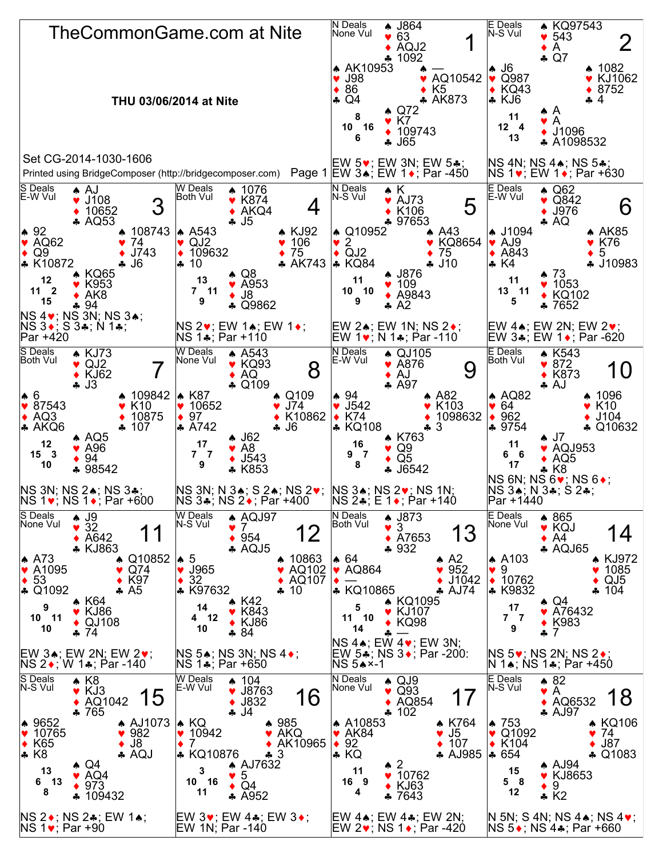